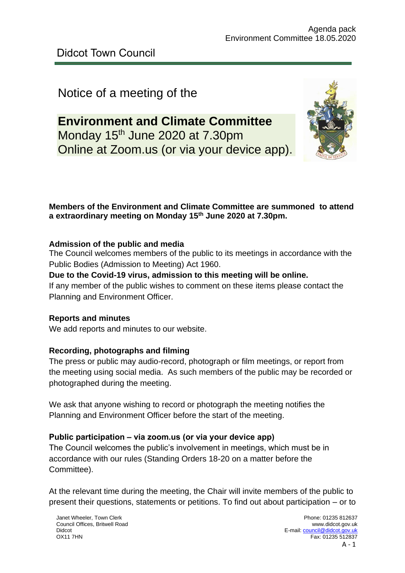# Notice of a meeting of the

# **Environment and Climate Committee** Monday 15<sup>th</sup> June 2020 at 7.30pm Online at Zoom.us (or via your device app).



# **Members of the Environment and Climate Committee are summoned to attend a extraordinary meeting on Monday 15 th June 2020 at 7.30pm.**

# **Admission of the public and media**

The Council welcomes members of the public to its meetings in accordance with the Public Bodies (Admission to Meeting) Act 1960.

# **Due to the Covid-19 virus, admission to this meeting will be online.**

If any member of the public wishes to comment on these items please contact the Planning and Environment Officer.

# **Reports and minutes**

We add reports and minutes to our website.

# **Recording, photographs and filming**

The press or public may audio-record, photograph or film meetings, or report from the meeting using social media. As such members of the public may be recorded or photographed during the meeting.

We ask that anyone wishing to record or photograph the meeting notifies the Planning and Environment Officer before the start of the meeting.

# **Public participation – via zoom.us (or via your device app)**

The Council welcomes the public's involvement in meetings, which must be in accordance with our rules (Standing Orders 18-20 on a matter before the Committee).

At the relevant time during the meeting, the Chair will invite members of the public to present their questions, statements or petitions. To find out about participation – or to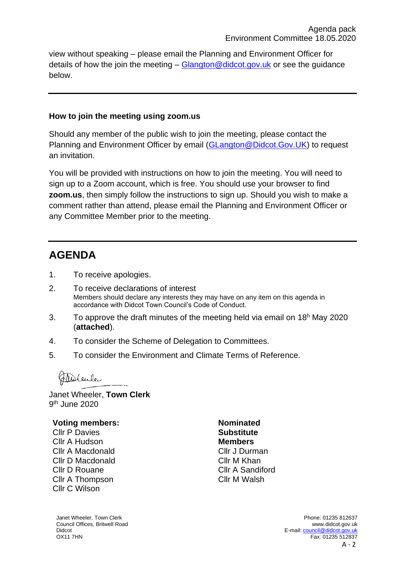view without speaking – please email the Planning and Environment Officer for details of how the join the meeting  $-$  Glangton @didcot.gov.uk or see the guidance below.

### **How to join the meeting using zoom.us**

Should any member of the public wish to join the meeting, please contact the Planning and Environment Officer by email [\(GLangton@Didcot.Gov.UK\)](mailto:GLangton@Didcot.Gov.UK) to request an invitation.

You will be provided with instructions on how to join the meeting. You will need to sign up to a Zoom account, which is free. You should use your browser to find **zoom.us**, then simply follow the instructions to sign up. Should you wish to make a comment rather than attend, please email the Planning and Environment Officer or any Committee Member prior to the meeting.

# **AGENDA**

- 1. To receive apologies.
- 2. To receive declarations of interest Members should declare any interests they may have on any item on this agenda in accordance with Didcot Town Council's Code of Conduct.
- 3. To approve the draft minutes of the meeting held via email on  $18<sup>h</sup>$  May 2020 (**attached**).
- 4. To consider the Scheme of Delegation to Committees.
- 5. To consider the Environment and Climate Terms of Reference.

Theolenler

Janet Wheeler, **Town Clerk** 9 th June 2020

# **Voting members:**

Cllr P Davies Cllr A Hudson Cllr A Macdonald Cllr D Macdonald Cllr D Rouane Cllr A Thompson Cllr C Wilson

**Nominated Substitute Members** Cllr J Durman Cllr M Khan Cllr A Sandiford Cllr M Walsh

Janet Wheeler, Town Clerk Council Offices, Britwell Road Didcot OX11 7HN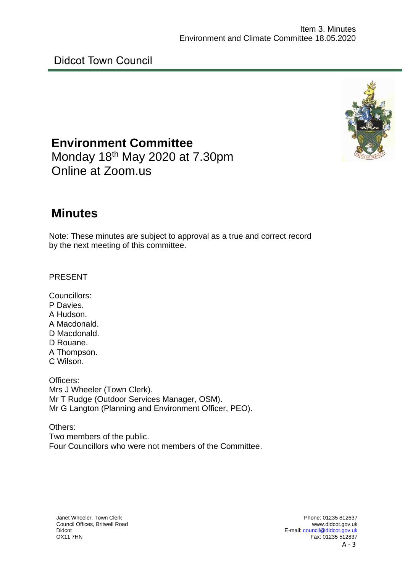

**Environment Committee** Monday 18<sup>th</sup> May 2020 at 7.30pm Online at Zoom.us

# **Minutes**

Note: These minutes are subject to approval as a true and correct record by the next meeting of this committee.

PRESENT

Councillors: P Davies. A Hudson. A Macdonald. D Macdonald. D Rouane. A Thompson. C Wilson.

Officers: Mrs J Wheeler (Town Clerk). Mr T Rudge (Outdoor Services Manager, OSM). Mr G Langton (Planning and Environment Officer, PEO).

Others: Two members of the public. Four Councillors who were not members of the Committee.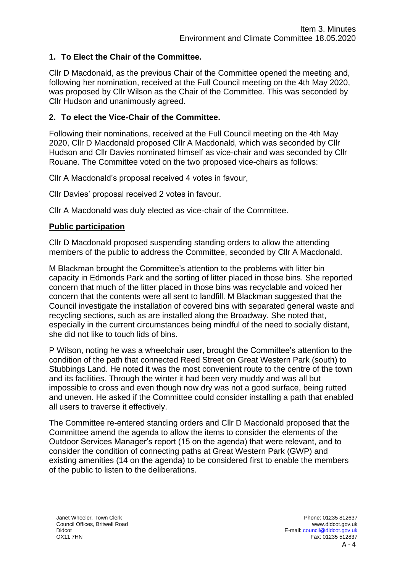## **1. To Elect the Chair of the Committee.**

Cllr D Macdonald, as the previous Chair of the Committee opened the meeting and, following her nomination, received at the Full Council meeting on the 4th May 2020, was proposed by Cllr Wilson as the Chair of the Committee. This was seconded by Cllr Hudson and unanimously agreed.

### **2. To elect the Vice-Chair of the Committee.**

Following their nominations, received at the Full Council meeting on the 4th May 2020, Cllr D Macdonald proposed Cllr A Macdonald, which was seconded by Cllr Hudson and Cllr Davies nominated himself as vice-chair and was seconded by Cllr Rouane. The Committee voted on the two proposed vice-chairs as follows:

Cllr A Macdonald's proposal received 4 votes in favour,

Cllr Davies' proposal received 2 votes in favour.

Cllr A Macdonald was duly elected as vice-chair of the Committee.

#### **Public participation**

Cllr D Macdonald proposed suspending standing orders to allow the attending members of the public to address the Committee, seconded by Cllr A Macdonald.

M Blackman brought the Committee's attention to the problems with litter bin capacity in Edmonds Park and the sorting of litter placed in those bins. She reported concern that much of the litter placed in those bins was recyclable and voiced her concern that the contents were all sent to landfill. M Blackman suggested that the Council investigate the installation of covered bins with separated general waste and recycling sections, such as are installed along the Broadway. She noted that, especially in the current circumstances being mindful of the need to socially distant, she did not like to touch lids of bins.

P Wilson, noting he was a wheelchair user, brought the Committee's attention to the condition of the path that connected Reed Street on Great Western Park (south) to Stubbings Land. He noted it was the most convenient route to the centre of the town and its facilities. Through the winter it had been very muddy and was all but impossible to cross and even though now dry was not a good surface, being rutted and uneven. He asked if the Committee could consider installing a path that enabled all users to traverse it effectively.

The Committee re-entered standing orders and Cllr D Macdonald proposed that the Committee amend the agenda to allow the items to consider the elements of the Outdoor Services Manager's report (15 on the agenda) that were relevant, and to consider the condition of connecting paths at Great Western Park (GWP) and existing amenities (14 on the agenda) to be considered first to enable the members of the public to listen to the deliberations.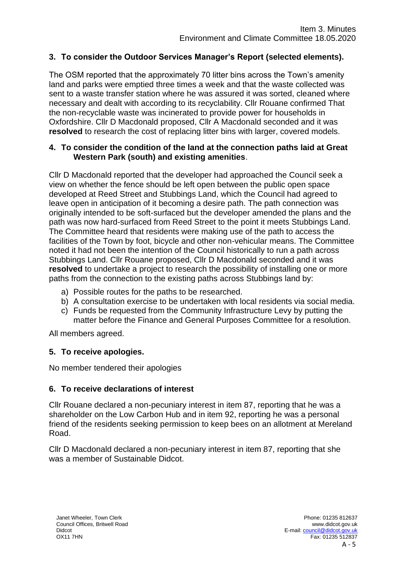## **3. To consider the Outdoor Services Manager's Report (selected elements).**

The OSM reported that the approximately 70 litter bins across the Town's amenity land and parks were emptied three times a week and that the waste collected was sent to a waste transfer station where he was assured it was sorted, cleaned where necessary and dealt with according to its recyclability. Cllr Rouane confirmed That the non-recyclable waste was incinerated to provide power for households in Oxfordshire. Cllr D Macdonald proposed, Cllr A Macdonald seconded and it was **resolved** to research the cost of replacing litter bins with larger, covered models.

#### **4. To consider the condition of the land at the connection paths laid at Great Western Park (south) and existing amenities**.

Cllr D Macdonald reported that the developer had approached the Council seek a view on whether the fence should be left open between the public open space developed at Reed Street and Stubbings Land, which the Council had agreed to leave open in anticipation of it becoming a desire path. The path connection was originally intended to be soft-surfaced but the developer amended the plans and the path was now hard-surfaced from Reed Street to the point it meets Stubbings Land. The Committee heard that residents were making use of the path to access the facilities of the Town by foot, bicycle and other non-vehicular means. The Committee noted it had not been the intention of the Council historically to run a path across Stubbings Land. Cllr Rouane proposed, Cllr D Macdonald seconded and it was **resolved** to undertake a project to research the possibility of installing one or more paths from the connection to the existing paths across Stubbings land by:

- a) Possible routes for the paths to be researched.
- b) A consultation exercise to be undertaken with local residents via social media.
- c) Funds be requested from the Community Infrastructure Levy by putting the matter before the Finance and General Purposes Committee for a resolution.

All members agreed.

# **5. To receive apologies.**

No member tendered their apologies

# **6. To receive declarations of interest**

Cllr Rouane declared a non-pecuniary interest in item 87, reporting that he was a shareholder on the Low Carbon Hub and in item 92, reporting he was a personal friend of the residents seeking permission to keep bees on an allotment at Mereland Road.

Cllr D Macdonald declared a non-pecuniary interest in item 87, reporting that she was a member of Sustainable Didcot.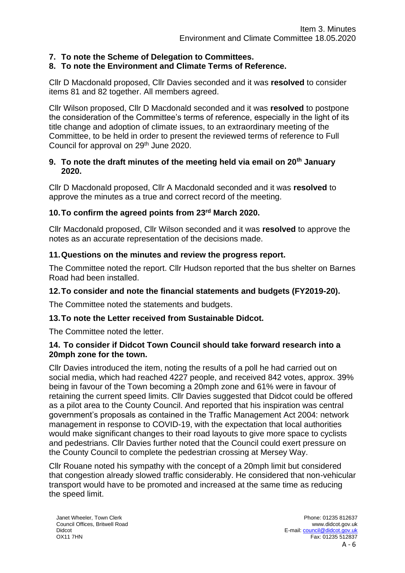## **7. To note the Scheme of Delegation to Committees.**

#### **8. To note the Environment and Climate Terms of Reference.**

Cllr D Macdonald proposed, Cllr Davies seconded and it was **resolved** to consider items 81 and 82 together. All members agreed.

Cllr Wilson proposed, Cllr D Macdonald seconded and it was **resolved** to postpone the consideration of the Committee's terms of reference, especially in the light of its title change and adoption of climate issues, to an extraordinary meeting of the Committee, to be held in order to present the reviewed terms of reference to Full Council for approval on 29<sup>th</sup> June 2020.

#### **9. To note the draft minutes of the meeting held via email on 20th January 2020.**

Cllr D Macdonald proposed, Cllr A Macdonald seconded and it was **resolved** to approve the minutes as a true and correct record of the meeting.

#### **10.To confirm the agreed points from 23rd March 2020.**

Cllr Macdonald proposed, Cllr Wilson seconded and it was **resolved** to approve the notes as an accurate representation of the decisions made.

#### **11.Questions on the minutes and review the progress report.**

The Committee noted the report. Cllr Hudson reported that the bus shelter on Barnes Road had been installed.

#### **12.To consider and note the financial statements and budgets (FY2019-20).**

The Committee noted the statements and budgets.

#### **13.To note the Letter received from Sustainable Didcot.**

The Committee noted the letter.

#### **14. To consider if Didcot Town Council should take forward research into a 20mph zone for the town.**

Cllr Davies introduced the item, noting the results of a poll he had carried out on social media, which had reached 4227 people, and received 842 votes, approx. 39% being in favour of the Town becoming a 20mph zone and 61% were in favour of retaining the current speed limits. Cllr Davies suggested that Didcot could be offered as a pilot area to the County Council. And reported that his inspiration was central government's proposals as contained in the Traffic Management Act 2004: network management in response to COVID-19, with the expectation that local authorities would make significant changes to their road layouts to give more space to cyclists and pedestrians. Cllr Davies further noted that the Council could exert pressure on the County Council to complete the pedestrian crossing at Mersey Way.

Cllr Rouane noted his sympathy with the concept of a 20mph limit but considered that congestion already slowed traffic considerably. He considered that non-vehicular transport would have to be promoted and increased at the same time as reducing the speed limit.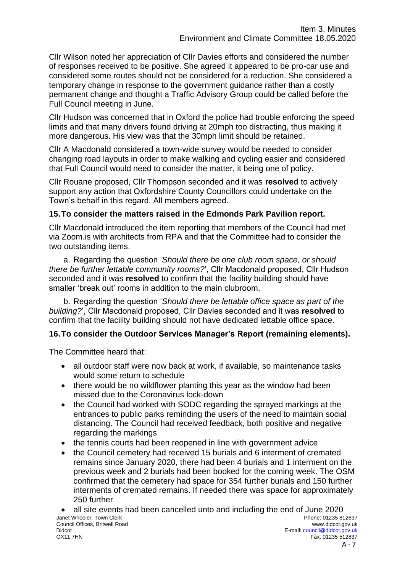Cllr Wilson noted her appreciation of Cllr Davies efforts and considered the number of responses received to be positive. She agreed it appeared to be pro-car use and considered some routes should not be considered for a reduction. She considered a temporary change in response to the government guidance rather than a costly permanent change and thought a Traffic Advisory Group could be called before the Full Council meeting in June.

Cllr Hudson was concerned that in Oxford the police had trouble enforcing the speed limits and that many drivers found driving at 20mph too distracting, thus making it more dangerous. His view was that the 30mph limit should be retained.

Cllr A Macdonald considered a town-wide survey would be needed to consider changing road layouts in order to make walking and cycling easier and considered that Full Council would need to consider the matter, it being one of policy.

Cllr Rouane proposed, Cllr Thompson seconded and it was **resolved** to actively support any action that Oxfordshire County Councillors could undertake on the Town's behalf in this regard. All members agreed.

### **15.To consider the matters raised in the Edmonds Park Pavilion report.**

Cllr Macdonald introduced the item reporting that members of the Council had met via Zoom.is with architects from RPA and that the Committee had to consider the two outstanding items.

a. Regarding the question '*Should there be one club room space, or should there be further lettable community rooms?*', Cllr Macdonald proposed, Cllr Hudson seconded and it was **resolved** to confirm that the facility building should have smaller 'break out' rooms in addition to the main clubroom.

b. Regarding the question '*Should there be lettable office space as part of the building?*', Cllr Macdonald proposed, Cllr Davies seconded and it was **resolved** to confirm that the facility building should not have dedicated lettable office space.

# **16.To consider the Outdoor Services Manager's Report (remaining elements).**

The Committee heard that:

- all outdoor staff were now back at work, if available, so maintenance tasks would some return to schedule
- there would be no wildflower planting this year as the window had been missed due to the Coronavirus lock-down
- the Council had worked with SODC regarding the sprayed markings at the entrances to public parks reminding the users of the need to maintain social distancing. The Council had received feedback, both positive and negative regarding the markings
- the tennis courts had been reopened in line with government advice
- the Council cemetery had received 15 burials and 6 interment of cremated remains since January 2020, there had been 4 burials and 1 interment on the previous week and 2 burials had been booked for the coming week. The OSM confirmed that the cemetery had space for 354 further burials and 150 further interments of cremated remains. If needed there was space for approximately 250 further
- Janet Wheeler, Town Clerk Council Offices, Britwell Road Didcot Phone: 01235 812637 www.didcot.gov.uk E-mail[: council@didcot.gov.uk](mailto:council@didcot.gov.uk) • all site events had been cancelled unto and including the end of June 2020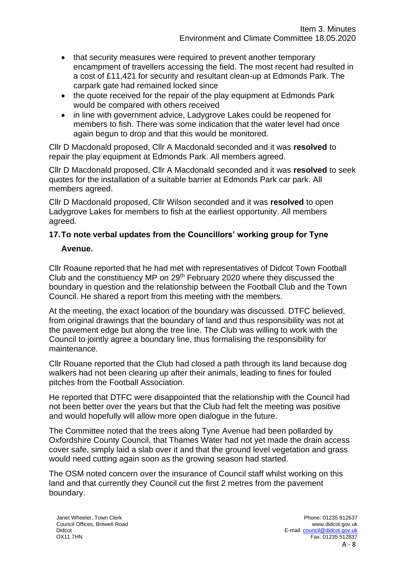- that security measures were required to prevent another temporary encampment of travellers accessing the field. The most recent had resulted in a cost of £11,421 for security and resultant clean-up at Edmonds Park. The carpark gate had remained locked since
- the quote received for the repair of the play equipment at Edmonds Park would be compared with others received
- in line with government advice, Ladygrove Lakes could be reopened for members to fish. There was some indication that the water level had once again begun to drop and that this would be monitored.

Cllr D Macdonald proposed, Cllr A Macdonald seconded and it was **resolved** to repair the play equipment at Edmonds Park. All members agreed.

Cllr D Macdonald proposed, Cllr A Macdonald seconded and it was **resolved** to seek quotes for the installation of a suitable barrier at Edmonds Park car park. All members agreed.

Cllr D Macdonald proposed, Cllr Wilson seconded and it was **resolved** to open Ladygrove Lakes for members to fish at the earliest opportunity. All members agreed.

# **17.To note verbal updates from the Councillors' working group for Tyne**

### **Avenue.**

Cllr Roaune reported that he had met with representatives of Didcot Town Football Club and the constituency MP on 29<sup>th</sup> February 2020 where they discussed the boundary in question and the relationship between the Football Club and the Town Council. He shared a report from this meeting with the members.

At the meeting, the exact location of the boundary was discussed. DTFC believed, from original drawings that the boundary of land and thus responsibility was not at the pavement edge but along the tree line. The Club was willing to work with the Council to jointly agree a boundary line, thus formalising the responsibility for maintenance.

Cllr Rouane reported that the Club had closed a path through its land because dog walkers had not been clearing up after their animals, leading to fines for fouled pitches from the Football Association.

He reported that DTFC were disappointed that the relationship with the Council had not been better over the years but that the Club had felt the meeting was positive and would hopefully will allow more open dialogue in the future.

The Committee noted that the trees along Tyne Avenue had been pollarded by Oxfordshire County Council, that Thames Water had not yet made the drain access cover safe, simply laid a slab over it and that the ground level vegetation and grass would need cutting again soon as the growing season had started.

The OSM noted concern over the insurance of Council staff whilst working on this land and that currently they Council cut the first 2 metres from the pavement boundary.